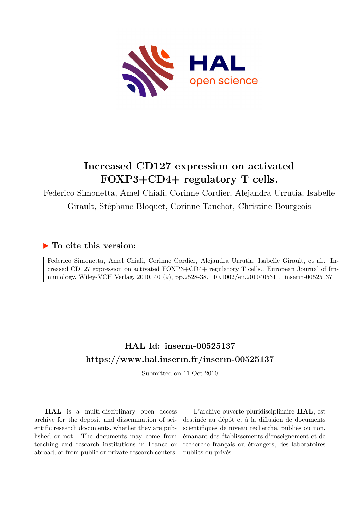

# **Increased CD127 expression on activated FOXP3+CD4+ regulatory T cells.**

Federico Simonetta, Amel Chiali, Corinne Cordier, Alejandra Urrutia, Isabelle Girault, Stéphane Bloquet, Corinne Tanchot, Christine Bourgeois

## **To cite this version:**

Federico Simonetta, Amel Chiali, Corinne Cordier, Alejandra Urrutia, Isabelle Girault, et al.. Increased CD127 expression on activated FOXP3+CD4+ regulatory T cells.. European Journal of Immunology, Wiley-VCH Verlag, 2010, 40 (9), pp.2528-38. 10.1002/eji.201040531 . inserm-00525137

# **HAL Id: inserm-00525137 <https://www.hal.inserm.fr/inserm-00525137>**

Submitted on 11 Oct 2010

**HAL** is a multi-disciplinary open access archive for the deposit and dissemination of scientific research documents, whether they are published or not. The documents may come from teaching and research institutions in France or abroad, or from public or private research centers.

L'archive ouverte pluridisciplinaire **HAL**, est destinée au dépôt et à la diffusion de documents scientifiques de niveau recherche, publiés ou non, émanant des établissements d'enseignement et de recherche français ou étrangers, des laboratoires publics ou privés.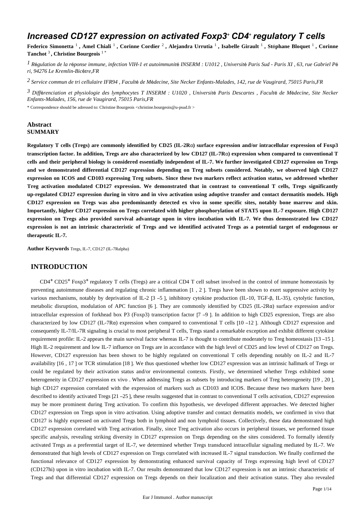## *Increased CD127 expression on activated Foxp3<sup>+</sup> CD4<sup>+</sup> regulatory T cells*

**Federico Simonetta** <sup>1</sup> **, Amel Chiali** <sup>1</sup> **, Corinne Cordier** <sup>2</sup> **, Alejandra Urrutia** <sup>1</sup> **, Isabelle Girault** <sup>1</sup> **, St**é**phane Bloquet** <sup>1</sup> **, Corinne Tanchot** <sup>3</sup> **, Christine Bourgeois** 1 \*

<sup>*I*</sup> Régulation de la réponse immune, infection VIH-1 et autoimmunité INSERM : U1012 , Université Paris Sud - Paris XI , 63, rue Gabriel Pé *ri, 94276 Le Kremlin-Bic*ê*tre,FR*

*Service commun de tri cellulaire 2 IFR94 , Facult*é *de M*é*decine, Site Necker Enfants-Malades, 142, rue de Vaugirard, 75015 Paris,FR*

*Diff renciation et physiologie des lymphocytes T 3* <sup>é</sup> *INSERM : U1020 , Universit*é *Paris Descartes , Facult*é *de M*é*decine, Site Necker Enfants-Malades, 156, rue de Vaugirard, 75015 Paris,FR*

\* Correspondence should be adressed to: Christine Bourgeois <christine.bourgeois@u-psud.fr >

## **Abstract SUMMARY**

**Regulatory T cells (Tregs) are commonly identified by CD25 (IL-2R**α**) surface expression and/or intracellular expression of Foxp3 transcription factor. In addition, Tregs are also characterized by low CD127 (IL-7R**α**) expression when compared to conventional T cells and their peripheral biology is considered essentially independent of IL-7. We further investigated CD127 expression on Tregs and we demonstrated differential CD127 expression depending on Treg subsets considered. Notably, we observed high CD127 expression on ICOS and CD103 expressing Treg subsets. Since these two markers reflect activation status, we addressed whether Treg activation modulated CD127 expression. We demonstrated that in contrast to conventional T cells, Tregs significantly up-regulated CD127 expression during in vitro and in vivo activation using adoptive transfer and contact dermatitis models. High CD127 expression on Tregs was also predominantly detected ex vivo in some specific sites, notably bone marrow and skin. Importantly, higher CD127 expression on Tregs correlated with higher phosphorylation of STAT5 upon IL-7 exposure. High CD127 expression on Tregs also provided survival advantage upon in vitro incubation with IL-7. We thus demonstrated low CD127 expression is not an intrinsic characteristic of Tregs and we identified activated Tregs as a potential target of endogenous or therapeutic IL-7.**

**Author Keywords** Tregs, IL-7, CD127 (IL-7Ralpha)

## **INTRODUCTION**

CD4<sup>+</sup> CD25<sup>+</sup> Foxp3<sup>+</sup> regulatory T cells (Tregs) are a critical CD4 T cell subset involved in the control of immune homeostasis by preventing autoimmune diseases and regulating chronic inflammation [1 , 2 ]. Tregs have been shown to exert suppressive activity by various mechanisms, notably by deprivation of IL-2 [3 –5 ], inhibitory cytokine production (IL-10, TGF-β, IL-35), cytolytic function, metabolic disruption, modulation of APC function [6 ]. They are commonly identified by CD25 (IL-2Rα) surface expression and/or intracellular expression of forkhead box P3 (Foxp3) transcription factor [7 –9 ]. In addition to high CD25 expression, Tregs are also characterized by low CD127 (IL-7Rα) expression when compared to conventional T cells [10 –12 ]. Although CD127 expression and consequently IL-7/IL-7R signaling is crucial to most peripheral T cells, Tregs stand a remarkable exception and exhibit different cytokine requirement profile: IL-2 appears the main survival factor whereas IL-7 is thought to contribute moderately to Treg homeostasis [13 –15 ]. High IL-2 requirement and low IL-7 influence on Tregs are in accordance with the high level of CD25 and low level of CD127 on Tregs. However, CD127 expression has been shown to be highly regulated on conventional T cells depending notably on IL-2 and IL-7 availability [16 , 17 ] or TCR stimulation [18 ]. We thus questioned whether low CD127 expression was an intrinsic hallmark of Tregs or could be regulated by their activation status and/or environmental contexts. Firstly, we determined whether Tregs exhibited some heterogeneity in CD127 expression ex vivo . When addressing Tregs as subsets by introducing markers of Treg heterogeneity [19 , 20 ], high CD127 expression correlated with the expression of markers such as CD103 and ICOS. Because these two markers have been described to identify activated Tregs [21 –25 ], these results suggested that in contrast to conventional T cells activation, CD127 expression may be more prominent during Treg activation. To confirm this hypothesis, we developed different approaches. We detected higher CD127 expression on Tregs upon in vitro activation. Using adoptive transfer and contact dermatitis models, we confirmed in vivo that CD127 is highly expressed on activated Tregs both in lymphoid and non lymphoid tissues. Collectively, these data demonstrated high CD127 expression correlated with Treg activation. Finally, since Treg activation also occurs in peripheral tissues, we performed tissue specific analysis, revealing striking diversity in CD127 expression on Tregs depending on the sites considered. To formally identify activated Tregs as a preferential target of IL-7, we determined whether Tregs transduced intracellular signaling mediated by IL-7. We demonstrated that high levels of CD127 expression on Tregs correlated with increased IL-7 signal transduction. We finally confirmed the functional relevance of CD127 expression by demonstrating enhanced survival capacity of Tregs expressing high level of CD127 (CD127hi) upon in vitro incubation with IL-7. Our results demonstrated that low CD127 expression is not an intrinsic characteristic of Tregs and that differential CD127 expression on Tregs depends on their localization and their activation status. They also revealed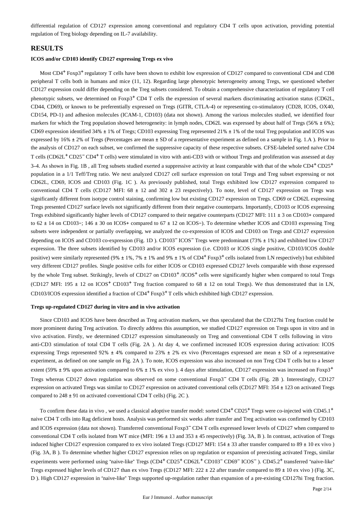differential regulation of CD127 expression among conventional and regulatory CD4 T cells upon activation, providing potential regulation of Treg biology depending on IL-7 availability.

## **RESULTS**

#### **ICOS and/or CD103 identify CD127 expressing Tregs ex vivo**

Most  $CD4^+$  Foxp3<sup>+</sup> regulatory T cells have been shown to exhibit low expression of CD127 compared to conventional CD4 and CD8 peripheral T cells both in humans and mice (11, 12). Regarding large phenotypic heterogeneity among Tregs, we questioned whether CD127 expression could differ depending on the Treg subsets considered. To obtain a comprehensive characterization of regulatory T cell phenotypic subsets, we determined on  $Foxp3$ <sup>+</sup> CD4 T cells the expression of several markers discriminating activation status (CD62L, CD44, CD69), or known to be preferentially expressed on Tregs (GITR, CTLA-4) or representing co-stimulatory (CD28, ICOS, OX40, CD154, PD-1) and adhesion molecules (ICAM-1, CD103) (data not shown). Among the various molecules studied, we identified four markers for which the Treg population showed heterogeneity: in lymph nodes, CD62L was expressed by about half of Tregs (56%  $\pm$  6%); CD69 expression identified 34% ± 1% of Tregs; CD103 expressing Treg represented 21% ± 1% of the total Treg population and ICOS was expressed by 16% ± 2% of Tregs (Percentages are mean ± SD of a representative experiment as defined on a sample in Fig. 1.A ). Prior to the analysis of CD127 on each subset, we confirmed the suppressive capacity of these respective subsets. CFSE-labeled sorted naïve CD4 T cells (CD62L<sup>+</sup> CD25<sup>-</sup> CD4<sup>+</sup> T cells) were stimulated in vitro with anti-CD3 with or without Tregs and proliferation was assessed at day  $3-4$ . As shown in Fig. 1B, all Treg subsets studied exerted a suppressive activity at least comparable with that of the whole  $CD4+CD25+$ population in a 1/1 Teff/Treg ratio. We next analyzed CD127 cell surface expression on total Tregs and Treg subset expressing or not CD62L, CD69, ICOS and CD103 (Fig. 1C ). As previously published, total Tregs exhibited low CD127 expression compared to conventional CD4 T cells (CD127 MFI:  $68 \pm 12$  and  $302 \pm 23$  respectively). To note, level of CD127 expression on Tregs was significantly different from isotype control staining, confirming low but existing CD127 expression on Tregs. CD69 or CD62L expressing Tregs presented CD127 surface levels not significantly different from their negative counterparts. Importantly, CD103 or ICOS expressing Tregs exhibited significantly higher levels of CD127 compared to their negative counterparts (CD127 MFI: 111 ± 3 on CD103+ compared to 62 ± 14 on CD103−; 146 ± 30 on ICOS+ compared to 67 ± 12 on ICOS−). To determine whether ICOS and CD103 expressing Treg subsets were independent or partially overlapping, we analyzed the co-expression of ICOS and CD103 on Tregs and CD127 expression depending on ICOS and CD103 co-expression (Fig. 1D). CD103<sup>-</sup> ICOS<sup>-</sup> Tregs were predominant (73% ± 1%) and exhibited low CD127 expression. The three subsets identified by CD103 and/or ICOS expression (i.e. CD103 or ICOS single positive, CD103/ICOS double positive) were similarly represented (9%  $\pm$  1%, 7%  $\pm$  1% and 9%  $\pm$  1% of CD4<sup>+</sup> Foxp3<sup>+</sup> cells isolated from LN respectively) but exhibited very different CD127 profiles. Single positive cells for either ICOS or CD103 expressed CD127 levels comparable with those expressed by the whole Treg subset. Strikingly, levels of  $CD127$  on  $CD103<sup>+</sup> /ICOS<sup>+</sup>$  cells were significantly higher when compared to total Tregs (CD127 MFI: 195  $\pm$  12 on ICOS<sup>+</sup> CD103<sup>+</sup> Treg fraction compared to 68  $\pm$  12 on total Tregs). We thus demonstrated that in LN, CD103/ICOS expression identified a fraction of CD4<sup>+</sup> Foxp3<sup>+</sup> T cells which exhibited high CD127 expression.

#### **Tregs up-regulated CD127 during in vitro and in vivo activation**

Since CD103 and ICOS have been described as Treg activation markers, we thus speculated that the CD127hi Treg fraction could be more prominent during Treg activation. To directly address this assumption, we studied CD127 expression on Tregs upon in vitro and in vivo activation. Firstly, we determined CD127 expression simultaneously on Treg and conventional CD4 T cells following in vitro anti-CD3 stimulation of total CD4 T cells (Fig. 2A ). At day 4, we confirmed increased ICOS expression during activation: ICOS expressing Tregs represented 92% ± 4% compared to 23% ± 2% ex vivo (Percentages expressed are mean ± SD of a representative experiment, as defined on one sample on Fig. 2A ). To note, ICOS expression was also increased on non Treg CD4 T cells but to a lesser extent (59%  $\pm$  9% upon activation compared to 6%  $\pm$  1% ex vivo ). 4 days after stimulation, CD127 expression was increased on Foxp3<sup>+</sup> Tregs whereas CD127 down regulation was observed on some conventional Foxp3<sup>-</sup> CD4 T cells (Fig. 2B). Interestingly, CD127 expression on activated Tregs was similar to CD127 expression on activated conventional cells (CD127 MFI: 354 ± 123 on activated Tregs compared to 248 ± 91 on activated conventional CD4 T cells) (Fig. 2C ).

To confirm these data in vivo, we used a classical adoptive transfer model: sorted  $CD4+CD25+T$ regs were co-injected with  $CD45.1+$ naive CD4 T cells into Rag deficient hosts. Analysis was performed six weeks after transfer and Treg activation was confirmed by CD103 and ICOS expression (data not shown). Transferred conventional Foxp3<sup>-</sup>CD4 T cells expressed lower levels of CD127 when compared to conventional CD4 T cells isolated from WT mice (MFI:  $196 \pm 13$  and  $353 \pm 45$  respectively) (Fig. 3A, B). In contrast, activation of Tregs induced higher CD127 expression compared to ex vivo isolated Tregs (CD127 MFI: 154 ± 33 after transfer compared to 89 ± 10 ex vivo ) (Fig. 3A, B ). To determine whether higher CD127 expression relies on up regulation or expansion of preexisting activated Tregs, similar experiments were performed using "naive-like" Tregs (CD4<sup>+</sup> CD25<sup>+</sup> CD62L<sup>+</sup> CD103<sup>-</sup> CD69<sup>-</sup> ICOS<sup>-</sup>). CD45.2<sup>+</sup> transferred "naive-like" Tregs expressed higher levels of CD127 than ex vivo Tregs (CD127 MFI: 222  $\pm$  22 after transfer compared to 89  $\pm$  10 ex vivo ) (Fig. 3C, D ). High CD127 expression in "naive-like" Tregs supported up-regulation rather than expansion of a pre-existing CD127hi Treg fraction.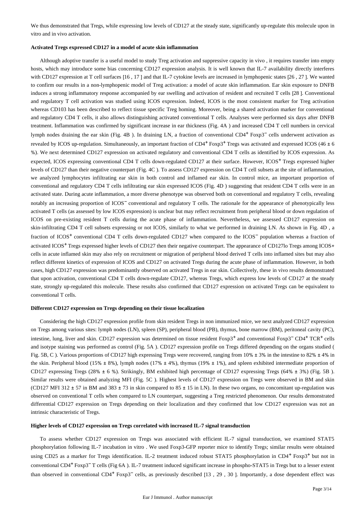We thus demonstrated that Tregs, while expressing low levels of CD127 at the steady state, significantly up-regulate this molecule upon in vitro and in vivo activation.

#### **Activated Tregs expressed CD127 in a model of acute skin inflammation**

Although adoptive transfer is a useful model to study Treg activation and suppressive capacity in vivo , it requires transfer into empty hosts, which may introduce some bias concerning CD127 expression analysis. It is well known that IL-7 availability directly interferes with CD127 expression at T cell surfaces [16, 17] and that IL-7 cytokine levels are increased in lymphopenic states [26, 27]. We wanted to confirm our results in a non-lymphopenic model of Treg activation: a model of acute skin inflammation. Ear skin exposure to DNFB induces a strong inflammatory response accompanied by ear swelling and activation of resident and recruited T cells [28 ]. Conventional and regulatory T cell activation was studied using ICOS expression. Indeed, ICOS is the most consistent marker for Treg activation whereas CD103 has been described to reflect tissue specific Treg homing. Moreover, being a shared activation marker for conventional and regulatory CD4 T cells, it also allows distinguishing activated conventional T cells. Analyses were performed six days after DNFB treatment. Inflammation was confirmed by significant increase in ear thickness (Fig. 4A ) and increased CD4 T cell numbers in cervical lymph nodes draining the ear skin (Fig. 4B). In draining LN, a fraction of conventional CD4<sup>+</sup> Foxp3<sup>-</sup> cells underwent activation as revealed by ICOS up-regulation. Simultaneously, an important fraction of  $CD4^+$  Foxp3<sup>+</sup> Tregs was activated and expressed ICOS (46  $\pm$  6 %). We next determined CD127 expression on activated regulatory and conventional CD4 T cells as identified by ICOS expression. As expected, ICOS expressing conventional CD4 T cells down-regulated CD127 at their surface. However, ICOS<sup>+</sup> Tregs expressed higher levels of CD127 than their negative counterpart (Fig. 4C ). To assess CD127 expression on CD4 T cell subsets at the site of inflammation, we analyzed lymphocytes infiltrating ear skin in both control and inflamed ear skin. In control mice, an important proportion of conventional and regulatory CD4 T cells infiltrating ear skin expressed ICOS (Fig. 4D ) suggesting that resident CD4 T cells were in an activated state. During acute inflammation, a more diverse phenotype was observed both on conventional and regulatory T cells, revealing notably an increasing proportion of ICOS<sup>-</sup> conventional and regulatory T cells. The rationale for the appearance of phenotypically less activated T cells (as assessed by low ICOS expression) is unclear but may reflect recruitment from peripheral blood or down regulation of ICOS on pre-existing resident T cells during the acute phase of inflammation. Nevertheless, we assessed CD127 expression on skin-infiltrating CD4 T cell subsets expressing or not ICOS, similarly to what we performed in draining LN. As shown in Fig. 4D , a fraction of ICOS<sup>+</sup> conventional CD4 T cells down-regulated CD127 when compared to the ICOS<sup>-</sup> population whereas a fraction of activated ICOS<sup>+</sup> Tregs expressed higher levels of CD127 then their negative counterpart. The appearance of CD127lo Tregs among ICOS+ cells in acute inflamed skin may also rely on recruitment or migration of peripheral blood derived T cells into inflamed sites but may also reflect different kinetics of expression of ICOS and CD127 on activated Tregs during the acute phase of inflammation. However, in both cases, high CD127 expression was predominantly observed on activated Tregs in ear skin. Collectively, these in vivo results demonstrated that upon activation, conventional CD4 T cells down-regulate CD127, whereas Tregs, which express low levels of CD127 at the steady state, strongly up-regulated this molecule. These results also confirmed that CD127 expression on activated Tregs can be equivalent to conventional T cells.

#### **Different CD127 expression on Tregs depending on their tissue localization**

Considering the high CD127 expression profile from skin resident Tregs in non immunized mice, we next analyzed CD127 expression on Tregs among various sites: lymph nodes (LN), spleen (SP), peripheral blood (PB), thymus, bone marrow (BM), peritoneal cavity (PC), intestine, lung, liver and skin. CD127 expression was determined on tissue resident Foxp3<sup>+</sup> and conventional Foxp3<sup>-</sup> CD4<sup>+</sup> TCR<sup>+</sup> cells and isotype staining was performed as control (Fig. 5A ). CD127 expression profile on Tregs differed depending on the organs studied ( Fig. 5B, C ). Various proportions of CD127 high expressing Tregs were recovered, ranging from 10% ± 3% in the intestine to 82% ± 4% in the skin. Peripheral blood (15%  $\pm$  8%), lymph nodes (17%  $\pm$  4%), thymus (19%  $\pm$  1%), and spleen exhibited intermediate proportion of CD127 expressing Tregs (28% ± 6 %). Strikingly, BM exhibited high percentage of CD127 expressing Tregs (64% ± 3%) (Fig. 5B ). Similar results were obtained analyzing MFI (Fig. 5C ). Highest levels of CD127 expression on Tregs were observed in BM and skin (CD127 MFI 312  $\pm$  57 in BM and 383  $\pm$  73 in skin compared to 85  $\pm$  15 in LN). In these two organs, no concomitant up-regulation was observed on conventional T cells when compared to LN counterpart, suggesting a Treg restricted phenomenon. Our results demonstrated differential CD127 expression on Tregs depending on their localization and they confirmed that low CD127 expression was not an intrinsic characteristic of Tregs.

#### **Higher levels of CD127 expression on Tregs correlated with increased IL-7 signal transduction**

To assess whether CD127 expression on Tregs was associated with efficient IL-7 signal transduction, we examined STAT5 phosphorylation following IL-7 incubation in vitro . We used Foxp3-GFP reporter mice to identify Tregs; similar results were obtained using CD25 as a marker for Tregs identification. IL-2 treatment induced robust STAT5 phosphorylation in CD4<sup>+</sup> Foxp3<sup>+</sup> but not in conventional CD4<sup>+</sup> Foxp3<sup>-</sup>T cells (Fig 6A). IL-7 treatment induced significant increase in phospho-STAT5 in Tregs but to a lesser extent than observed in conventional CD4<sup>+</sup> Foxp3<sup>-</sup> cells, as previously described [13, 29, 30]. Importantly, a dose dependent effect was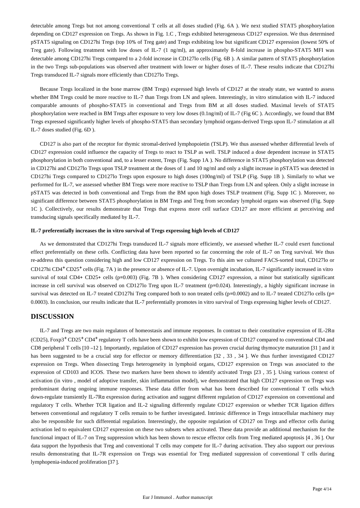detectable among Tregs but not among conventional T cells at all doses studied (Fig. 6A ). We next studied STAT5 phosphorylation depending on CD127 expression on Tregs. As shown in Fig. 1.C , Tregs exhibited heterogeneous CD127 expression. We thus determined pSTAT5 signaling on CD127hi Tregs (top 10% of Treg gate) and Tregs exhibiting low but significant CD127 expression (lowest 50% of Treg gate). Following treatment with low doses of IL-7 (1 ng/ml), an approximately 8-fold increase in phospho-STAT5 MFI was detectable among CD127hi Tregs compared to a 2-fold increase in CD127lo cells (Fig. 6B ). A similar pattern of STAT5 phosphorylation in the two Tregs sub-populations was observed after treatment with lower or higher doses of IL-7. These results indicate that CD127hi Tregs transduced IL-7 signals more efficiently than CD127lo Tregs.

Because Tregs localized in the bone marrow (BM Tregs) expressed high levels of CD127 at the steady state, we wanted to assess whether BM Tregs could be more reactive to IL-7 than Tregs from LN and spleen. Interestingly, in vitro stimulation with IL-7 induced comparable amounts of phospho-STAT5 in conventional and Tregs from BM at all doses studied. Maximal levels of STAT5 phosphorylation were reached in BM Tregs after exposure to very low doses (0.1ng/ml) of IL-7 (Fig 6C ). Accordingly, we found that BM Tregs expressed significantly higher levels of phospho-STAT5 than secondary lymphoid organs-derived Tregs upon IL-7 stimulation at all IL-7 doses studied (Fig. 6D ).

CD127 is also part of the receptor for thymic stromal-derived lymphopoietin (TSLP). We thus assessed whether differential levels of CD127 expression could influence the capacity of Tregs to react to TSLP as well. TSLP induced a dose dependent increase in STAT5 phosphorylation in both conventional and, to a lesser extent, Tregs (Fig. Supp 1A ). No difference in STAT5 phosphorylation was detected in CD127hi and CD127lo Tregs upon TSLP treatment at the doses of 1 and 10 ng/ml and only a slight increase in pSTAT5 was detected in CD127hi Tregs compared to CD127lo Tregs upon exposure to high doses (100ng/ml) of TSLP (Fig. Supp 1B ). Similarly to what we performed for IL-7, we assessed whether BM Tregs were more reactive to TSLP than Tregs from LN and spleen. Only a slight increase in pSTAT5 was detected in both conventional and Tregs from the BM upon high doses TSLP treatment (Fig. Supp 1C ). Moreover, no significant difference between STAT5 phosphorylation in BM Tregs and Treg from secondary lymphoid organs was observed (Fig. Supp 1C ). Collectively, our results demonstrate that Tregs that express more cell surface CD127 are more efficient at perceiving and transducing signals specifically mediated by IL-7.

#### **IL-7 preferentially increases the in vitro survival of Tregs expressing high levels of CD127**

As we demonstrated that CD127hi Tregs transduced IL-7 signals more efficiently, we assessed whether IL-7 could exert functional effect preferentially on these cells. Conflicting data have been reported so far concerning the role of IL-7 on Treg survival. We thus re-address this question considering high and low CD127 expression on Tregs. To this aim we cultured FACS-sorted total, CD127lo or CD127hi CD4<sup>+</sup> CD25<sup>+</sup> cells (Fig. 7A) in the presence or absence of IL-7. Upon overnight incubation, IL-7 significantly increased in vitro survival of total CD4+ CD25+ cells (p=0.003) (Fig. 7B ). When considering CD127 expression, a minor but statistically significant increase in cell survival was observed on CD127lo Treg upon IL-7 treatment (p=0.024). Interestingly, a highly significant increase in survival was detected on IL-7 treated CD127hi Treg compared both to non treated cells (p=0.0002) and to IL-7 treated CD127lo cells (p= 0.0003). In conclusion, our results indicate that IL-7 preferentially promotes in vitro survival of Tregs expressing higher levels of CD127.

## **DISCUSSION**

IL-7 and Tregs are two main regulators of homeostasis and immune responses. In contrast to their constitutive expression of IL-2Rα (CD25), Foxp3<sup>+</sup> CD25<sup>+</sup> CD4<sup>+</sup> regulatory T cells have been shown to exhibit low expression of CD127 compared to conventional CD4 and CD8 peripheral T cells [10 –12 ]. Importantly, regulation of CD127 expression has proven crucial during thymocyte maturation [31 ] and it has been suggested to be a crucial step for effector or memory differentiation [32, 33, 34]. We thus further investigated CD127 expression on Tregs. When dissecting Tregs heterogeneity in lymphoid organs, CD127 expression on Tregs was associated to the expression of CD103 and ICOS. These two markers have been shown to identify activated Tregs [23 , 35 ]. Using various context of activation (in vitro , model of adoptive transfer, skin inflammation model), we demonstrated that high CD127 expression on Tregs was predominant during ongoing immune responses. These data differ from what has been described for conventional T cells which down-regulate transiently IL-7Rα expression during activation and suggest different regulation of CD127 expression on conventional and regulatory T cells. Whether TCR ligation and IL-2 signaling differently regulate CD127 expression or whether TCR ligation differs between conventional and regulatory T cells remain to be further investigated. Intrinsic difference in Tregs intracellular machinery may also be responsible for such differential regulation. Interestingly, the opposite regulation of CD127 on Tregs and effector cells during activation led to equivalent CD127 expression on these two subsets when activated. These data provide an additional mechanism for the functional impact of IL-7 on Treg suppression which has been shown to rescue effector cells from Treg mediated apoptosis [4 , 36 ]. Our data support the hypothesis that Treg and conventional T cells may compete for IL-7 during activation. They also support our previous results demonstrating that IL-7R expression on Tregs was essential for Treg mediated suppression of conventional T cells during lymphopenia-induced proliferation [37 ].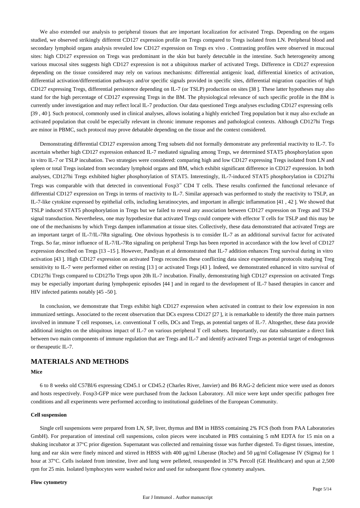We also extended our analysis to peripheral tissues that are important localization for activated Tregs. Depending on the organs studied, we observed strikingly different CD127 expression profile on Tregs compared to Tregs isolated from LN. Peripheral blood and secondary lymphoid organs analysis revealed low CD127 expression on Tregs ex vivo . Contrasting profiles were observed in mucosal sites: high CD127 expression on Tregs was predominant in the skin but barely detectable in the intestine. Such heterogeneity among various mucosal sites suggests high CD127 expression is not a ubiquitous marker of activated Tregs. Difference in CD127 expression depending on the tissue considered may rely on various mechanisms: differential antigenic load, differential kinetics of activation, differential activation/differentiation pathways and/or specific signals provided in specific sites, differential migration capacities of high CD127 expressing Tregs, differential persistence depending on IL-7 (or TSLP) production on sites [38 ]. These latter hypotheses may also stand for the high percentage of CD127 expressing Tregs in the BM. The physiological relevance of such specific profile in the BM is currently under investigation and may reflect local IL-7 production. Our data questioned Tregs analyses excluding CD127 expressing cells [39 , 40 ]. Such protocol, commonly used in clinical analyses, allows isolating a highly enriched Treg population but it may also exclude an activated population that could be especially relevant in chronic immune responses and pathological contexts. Although CD127hi Tregs are minor in PBMC, such protocol may prove debatable depending on the tissue and the context considered.

Demonstrating differential CD127 expression among Treg subsets did not formally demonstrate any preferential reactivity to IL-7. To ascertain whether high CD127 expression enhanced IL-7 mediated signaling among Tregs, we determined STAT5 phosphorylation upon in vitro IL-7 or TSLP incubation. Two strategies were considered: comparing high and low CD127 expressing Tregs isolated from LN and spleen or total Tregs isolated from secondary lymphoid organs and BM, which exhibit significant difference in CD127 expression. In both analyses, CD127hi Tregs exhibited higher phosphorylation of STAT5. Interestingly, IL-7-induced STAT5 phosphorylation in CD127hi Tregs was comparable with that detected in conventional Foxp3<sup>-</sup> CD4 T cells. These results confirmed the functional relevance of differential CD127 expression on Tregs in terms of reactivity to IL-7. Similar approach was performed to study the reactivity to TSLP, an IL-7-like cytokine expressed by epithelial cells, including keratinocytes, and important in allergic inflammation [41 , 42 ]. We showed that TSLP induced STAT5 phosphorylation in Tregs but we failed to reveal any association between CD127 expression on Tregs and TSLP signal transduction. Nevertheless, one may hypothesize that activated Tregs could compete with effector T cells for TSLP and this may be one of the mechanisms by which Tregs dampen inflammation at tissue sites. Collectively, these data demonstrated that activated Tregs are an important target of IL-7/IL-7Rα signaling. One obvious hypothesis is to consider IL-7 as an additional survival factor for activated Tregs. So far, minor influence of IL-7/IL-7Rα signaling on peripheral Tregs has been reported in accordance with the low level of CD127 expression described on Tregs [13 –15 ]. However, Pandiyan et al demonstrated that IL-7 addition enhances Treg survival during in vitro activation [43 ]. High CD127 expression on activated Tregs reconciles these conflicting data since experimental protocols studying Treg sensitivity to IL-7 were performed either on resting [13 ] or activated Tregs [43 ]. Indeed, we demonstrated enhanced in vitro survival of CD127hi Tregs compared to CD127lo Tregs upon 20h IL-7 incubation. Finally, demonstrating high CD127 expression on activated Tregs may be especially important during lymphopenic episodes [44 ] and in regard to the development of IL-7 based therapies in cancer and HIV infected patients notably [45 –50 ].

In conclusion, we demonstrate that Tregs exhibit high CD127 expression when activated in contrast to their low expression in non immunized settings. Associated to the recent observation that DCs express CD127 [27 ], it is remarkable to identify the three main partners involved in immune T cell responses, i.e. conventional T cells, DCs and Tregs, as potential targets of IL-7. Altogether, these data provide additional insights on the ubiquitous impact of IL-7 on various peripheral T cell subsets. Importantly, our data substantiate a direct link between two main components of immune regulation that are Tregs and IL-7 and identify activated Tregs as potential target of endogenous or therapeutic IL-7.

## **MATERIALS AND METHODS**

## **Mice**

6 to 8 weeks old C57Bl/6 expressing CD45.1 or CD45.2 (Charles River, Janvier) and B6 RAG-2 deficient mice were used as donors and hosts respectively. Foxp3-GFP mice were purchased from the Jackson Laboratory. All mice were kept under specific pathogen free conditions and all experiments were performed according to institutional guidelines of the European Community.

#### **Cell suspension**

Single cell suspensions were prepared from LN, SP, liver, thymus and BM in HBSS containing 2% FCS (both from PAA Laboratories GmbH). For preparation of intestinal cell suspensions, colon pieces were incubated in PBS containing 5 mM EDTA for 15 min on a shaking incubator at 37°C prior digestion. Supernatant was collected and remaining tissue was further digested. To digest tissues, intestine, lung and ear skin were finely minced and stirred in HBSS with 400 μg/ml Liberase (Roche) and 50 μg/ml Collagenase IV (Sigma) for 1 hour at 37°C. Cells isolated from intestine, liver and lung were pelleted, resuspended in 37% Percoll (GE Healthcare) and spun at 2,500 rpm for 25 min. Isolated lymphocytes were washed twice and used for subsequent flow cytometry analyses.

#### **Flow cytometry**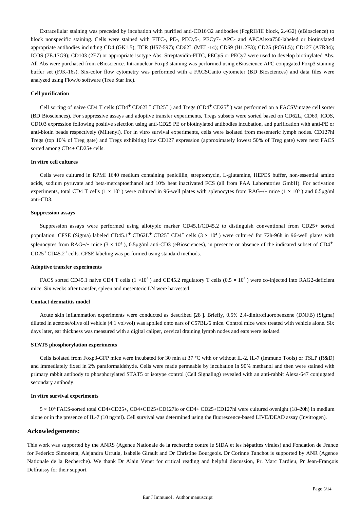Extracellular staining was preceded by incubation with purified anti-CD16/32 antibodies (FcgRII/III block, 2.4G2) (eBioscience) to block nonspecific staining. Cells were stained with FITC-, PE-, PECy5-, PECy7- APC- and APCAlexa750-labeled or biotinylated appropriate antibodies including CD4 (GK1.5); TCR (H57-597); CD62L (MEL-14); CD69 (H1.2F3); CD25 (PC61.5); CD127 (A7R34); ICOS (7E.17G9); CD103 (2E7) or appropriate isotype Abs. Streptavidin-FITC, PECy5 or PECy7 were used to develop biotinylated Abs. All Abs were purchased from eBioscience. Intranuclear Foxp3 staining was performed using eBioscience APC-conjugated Foxp3 staining buffer set (FJK-16s). Six-color flow cytometry was performed with a FACSCanto cytometer (BD Biosciences) and data files were analyzed using FlowJo software (Tree Star Inc).

#### **Cell purification**

Cell sorting of naive CD4 T cells (CD4<sup>+</sup> CD62L<sup>+</sup> CD25<sup>-</sup>) and Tregs (CD4<sup>+</sup> CD25<sup>+</sup>) was performed on a FACSVintage cell sorter (BD Biosciences). For suppressive assays and adoptive transfer experiments, Tregs subsets were sorted based on CD62L, CD69, ICOS, CD103 expression following positive selection using anti-CD25 PE or biotinylated antibodies incubation, and purification with anti-PE or anti-biotin beads respectively (Miltenyi). For in vitro survival experiments, cells were isolated from mesenteric lymph nodes. CD127hi Tregs (top 10% of Treg gate) and Tregs exhibiting low CD127 expression (approximately lowest 50% of Treg gate) were next FACS sorted among CD4+ CD25+ cells.

#### **In vitro cell cultures**

Cells were cultured in RPMI 1640 medium containing penicillin, streptomycin, L-glutamine, HEPES buffer, non-essential amino acids, sodium pyruvate and beta-mercaptoethanol and 10% heat inactivated FCS (all from PAA Laboratories GmbH). For activation experiments, total CD4 T cells (1 × 10<sup>5</sup>) were cultured in 96-well plates with splenocytes from RAG-/- mice (1 × 10<sup>5</sup>) and 0.5 µg/ml anti-CD3.

#### **Suppression assays**

Suppression assays were performed using allotypic marker CD45.1/CD45.2 to distinguish conventional from CD25+ sorted population. CFSE (Sigma) labeled CD45.1<sup>+</sup> CD62L<sup>+</sup> CD25<sup>-</sup> CD4<sup>+</sup> cells (3 × 10<sup>4</sup>) were cultured for 72h-96h in 96-well plates with splenocytes from RAG-/- mice  $(3 \times 10^4)$ , 0.5µg/ml anti-CD3 (eBiosciences), in presence or absence of the indicated subset of CD4<sup>+</sup>  $CD25<sup>+</sup>CD45.2<sup>+</sup>$  cells. CFSE labeling was performed using standard methods.

#### **Adoptive transfer experiments**

FACS sorted CD45.1 naive CD4 T cells  $(1 \times 10^5)$  and CD45.2 regulatory T cells  $(0.5 \times 10^5)$  were co-injected into RAG2-deficient mice. Six weeks after transfer, spleen and mesenteric LN were harvested.

#### **Contact dermatitis model**

Acute skin inflammation experiments were conducted as described [28 ]. Briefly, 0.5% 2,4-dinitrofluorobenzene (DNFB) (Sigma) diluted in acetone/olive oil vehicle (4:1 vol/vol) was applied onto ears of C57BL/6 mice. Control mice were treated with vehicle alone. Six days later, ear thickness was measured with a digital caliper, cervical draining lymph nodes and ears were isolated.

#### **STAT5 phosphorylation experiments**

Cells isolated from Foxp3-GFP mice were incubated for 30 min at 37 °C with or without IL-2, IL-7 (Immuno Tools) or TSLP (R&D) and immediately fixed in 2% paraformaldehyde. Cells were made permeable by incubation in 90% methanol and then were stained with primary rabbit antibody to phosphorylated STAT5 or isotype control (Cell Signaling) revealed with an anti-rabbit Alexa-647 conjugated secondary antibody.

#### **In vitro survival experiments**

5 × 104 FACS-sorted total CD4+CD25+, CD4+CD25+CD127lo or CD4+ CD25+CD127hi were cultured ovenight (18–20h) in medium alone or in the presence of IL-7 (10 ng/ml). Cell survival was determined using the fluorescence-based LIVE/DEAD assay (Invitrogen).

#### **Ackowledgements:**

This work was supported by the ANRS (Agence Nationale de la recherche contre le SIDA et les hépatites virales) and Fondation de France for Federico Simonetta, Alejandra Urrutia, Isabelle Girault and Dr Christine Bourgeois. Dr Corinne Tanchot is supported by ANR (Agence Nationale de la Recherche). We thank Dr Alain Venet for critical reading and helpful discussion, Pr. Marc Tardieu, Pr Jean-François Delfraissy for their support.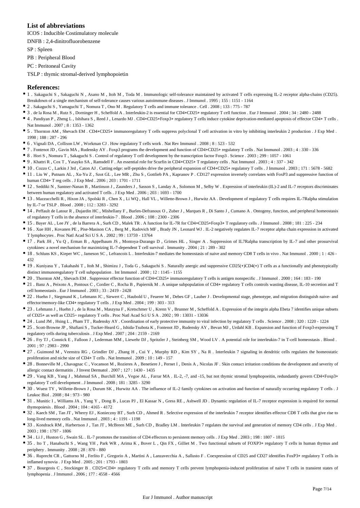## **List of abbreviations**

ICOS : Inducible Costimulatory molecule

DNFB : 2,4-dinitrofluorobenzene

SP : Spleen

PB : Peripheral Blood

PC : Peritoneal Cavity

TSLP : thymic stromal-derived lymphopoietin

#### **References:**

- 1 . Sakaguchi S , Sakaguchi N , Asano M , Itoh M , Toda M . Immunologic self-tolerance maintained by activated T cells expressing IL-2 receptor alpha-chains (CD25).
- Breakdown of a single mechanism of self-tolerance causes various autoimmune diseases . J Immunol . 1995 ; 155 : 1151 1164
- 2 . Sakaguchi S , Yamaguchi T , Nomura T , Ono M . Regulatory T cells and immune tolerance . Cell . 2008 ; 133 : 775 787
- 3 . de la Rosa M , Rutz S , Dorninger H , Scheffold A . Interleukin-2 is essential for CD4+CD25+ regulatory T cell function . Eur J Immunol . 2004 ; 34 : 2480 2488
- 4. Pandiyan P, Zheng L, Ishihara S, Reed J, Lenardo MJ. CD4+CD25+Foxp3+ regulatory T cells induce cytokine deprivation-mediated apoptosis of effector CD4+ T cells. Nat Immunol . 2007 ; 8 : 1353 - 1362
- 5 . Thornton AM , Shevach EM . CD4+CD25+ immunoregulatory T cells suppress polyclonal T cell activation in vitro by inhibiting interleukin 2 production . J Exp Med . 1998 ; 188 : 287 - 296
- 6 . Vignali DA , Collison LW , Workman CJ . How regulatory T cells work . Nat Rev Immunol . 2008 ; 8 : 523 532
- 7 . Fontenot JD , Gavin MA , Rudensky AY . Foxp3 programs the development and function of CD4+CD25+ regulatory T cells . Nat Immunol . 2003 ; 4 : 330 336
- 8 . Hori S , Nomura T , Sakaguchi S . Control of regulatory T cell development by the transcription factor Foxp3 . Science . 2003 ; 299 : 1057 1061
- 9 . Khattri R , Cox T , Yasayko SA , Ramsdell F . An essential role for Scurfin in CD4+CD25+ T regulatory cells . Nat Immunol . 2003 ; 4 : 337 342
- 10 . Cozzo C , Larkin J 3rd , Caton AJ . Cutting edge: self-peptides drive the peripheral expansion of CD4+CD25+ regulatory T cells . J Immunol . 2003 ; 171 : 5678 5682
- 11 . Liu W , Putnam AL , Xu-Yu Z , Szot GL , Lee MR , Zhu S , Gottlieb PA , Kapranov P . CD127 expression inversely correlates with FoxP3 and suppressive function of human CD4+ T reg cells . J Exp Med . 2006 ; 203 : 1701 - 1711
- 12 . Seddiki N , Santner-Nanan B , Martinson J , Zaunders J , Sasson S , Landay A , Solomon M , Selby W . Expression of interleukin (IL)-2 and IL-7 receptors discriminates between human regulatory and activated T cells . J Exp Med . 2006 ; 203 : 1693 - 1700
- 13 . Mazzucchelli R , Hixon JA , Spolski R , Chen X , Li WQ , Hall VL , Willette-Brown J , Hurwitz AA . Development of regulatory T cells requires IL-7Ralpha stimulation by IL-7 or TSLP . Blood . 2008 ; 112 : 3283 - 3292
- 14 . Peffault de Latour R , Dujardin HC , Mishellany F , Burlen-Defranoux O , Zuber J , Marques R , Di Santo J , Cumano A . Ontogeny, function, and peripheral homeostasis of regulatory T cells in the absence of interleukin-7 . Blood . 2006 ; 108 : 2300 - 2306
- 15 . Bayer AL , Lee JY , de la Barrera A , Surh CD , Malek TR . A function for IL-7R for CD4+CD25+Foxp3+ T regulatory cells . J Immunol . 2008 ; 181 : 225 234
- 16 . Xue HH , Kovanen PE , Pise-Masison CA , Berg M , Radovich MF , Brady JN , Leonard WJ . IL-2 negatively regulates IL-7 receptor alpha chain expression in activated T lymphocytes . Proc Natl Acad Sci U S A . 2002 ; 99 : 13759 - 13764
- 17 . Park JH , Yu Q , Erman B , Appelbaum JS , Montoya-Durango D , Grimes HL , Singer A . Suppression of IL7Ralpha transcription by IL-7 and other prosurvival cytokines: a novel mechanism for maximizing IL-7-dependent T cell survival . Immunity . 2004 ; 21 : 289 - 302
- 18 . Schluns KS , Kieper WC , Jameson SC , Lefrancois L . Interleukin-7 mediates the homeostasis of naive and memory CD8 T cells in vivo . Nat Immunol . 2000 ; 1 : 426 432
- 19 . Kuniyasu Y , Takahashi T , Itoh M , Shimizu J , Toda G , Sakaguchi S . Naturally anergic and suppressive CD25(+)CD4(+) T cells as a functionally and phenotypically distinct immunoregulatory T cell subpopulation . Int Immunol . 2000 ; 12 : 1145 - 1155
- 20 . Thornton AM , Shevach EM . Suppressor effector function of CD4+CD25+ immunoregulatory T cells is antigen nonspecific . J Immunol . 2000 ; 164 : 183 190
- 21 . Banz A , Peixoto A , Pontoux C , Cordier C , Rocha B , Papiernik M . A unique subpopulation of CD4+ regulatory T cells controls wasting disease, IL-10 secretion and T cell homeostasis . Eur J Immunol . 2003 ; 33 : 2419 - 2428
- 22 . Huehn J , Siegmund K , Lehmann JC , Siewert C , Haubold U , Feuerer M , Debes GF , Lauber J . Developmental stage, phenotype, and migration distinguish naive- and effector/memory-like CD4+ regulatory T cells . J Exp Med . 2004 ; 199 : 303 - 313
- 23 . Lehmann J , Huehn J , de la Rosa M , Maszyna F , Kretschmer U , Krenn V , Brunner M , Scheffold A . Expression of the integrin alpha Ebeta 7 identifies unique subsets of CD25+ as well as CD25− regulatory T cells . Proc Natl Acad Sci U S A . 2002 ; 99 : 13031 - 13036
- 24 . Lund JM , Hsing L , Pham TT , Rudensky AY . Coordination of early protective immunity to viral infection by regulatory T cells . Science . 2008 ; 320 : 1220 1224
- 25 . Scott-Browne JP , Shafiani S , Tucker-Heard G , Ishida-Tsubota K , Fontenot JD , Rudensky AY , Bevan MJ , Urdahl KB . Expansion and function of Foxp3-expressing T regulatory cells during tuberculosis . J Exp Med . 2007 ; 204 : 2159 - 2169
- 26 . Fry TJ , Connick E , Falloon J , Lederman MM , Liewehr DJ , Spritzler J , Steinberg SM , Wood LV . A potential role for interleukin-7 in T-cell homeostasis . Blood . 2001 ; 97 : 2983 - 2990
- 27 . Guimond M , Veenstra RG , Grindler DJ , Zhang H , Cui Y , Murphy RD , Kim SY , Na R . Interleukin 7 signaling in dendritic cells regulates the homeostatic proliferation and niche size of CD4+ T cells . Nat Immunol . 2009 ; 10 : 149 - 157
- 28 . Bonneville M, Chavagnac C, Vocanson M, Rozieres A, Benetiere J, Pernet I, Denis A, Nicolas JF . Skin contact irritation conditions the development and severity of allergic contact dermatitis . J Invest Dermatol . 2007 ; 127 : 1430 - 1435
- 29 . Vang KB , Yang J , Mahmud SA , Burchill MA , Vegoe AL , Farrar MA . IL-2, -7, and -15 but not thymic stromal lymphopoeitin, redundantly govern CD4+Foxp3+ regulatory T cell development . J Immunol . 2008 ; 181 : 3285 - 3290
- 30 . Wuest TY , Willette-Brown J , Durum SK , Hurwitz AA . The influence of IL-2 family cytokines on activation and function of naturally occurring regulatory T cells . J Leukoc Biol . 2008 ; 84 : 973 - 980
- 31 . Munitic I, Williams JA, Yang Y, Dong B, Lucas PJ, El Kassar N, Gress RE, Ashwell JD. Dynamic regulation of IL-7 receptor expression is required for normal thymopoiesis . Blood . 2004 ; 104 : 4165 - 4172
- 32 . Kaech SM , Tan JT , Wherry EJ , Konieczny BT , Surh CD , Ahmed R . Selective expression of the interleukin 7 receptor identifies effector CD8 T cells that give rise to long-lived memory cells . Nat Immunol . 2003 ; 4 : 1191 - 1198
- 33 . Kondrack RM , Harbertson J , Tan JT , McBreen ME , Surh CD , Bradley LM . Interleukin 7 regulates the survival and generation of memory CD4 cells . J Exp Med . 2003 ; 198 : 1797 - 1806
- 34 . Li J , Huston G , Swain SL . IL-7 promotes the transition of CD4 effectors to persistent memory cells . J Exp Med . 2003 ; 198 : 1807 1815
- 35 . Ito T, Hanabuchi S, Wang YH, Park WR, Arima K, Bover L, Qin FX, Gilliet M. Two functional subsets of FOXP3+ regulatory T cells in human thymus and periphery . Immunity . 2008 ; 28 : 870 - 880
- 36 . Ruprecht CR , Gattorno M , Ferlito F , Gregorio A , Martini A , Lanzavecchia A , Sallusto F . Coexpression of CD25 and CD27 identifies FoxP3+ regulatory T cells in inflamed synovia . J Exp Med . 2005 ; 201 : 1793 - 1803
- 37 . Bourgeois C , Stockinger B . CD25+CD4+ regulatory T cells and memory T cells prevent lymphopenia-induced proliferation of naive T cells in transient states of lymphopenia . J Immunol . 2006 ; 177 : 4558 - 4566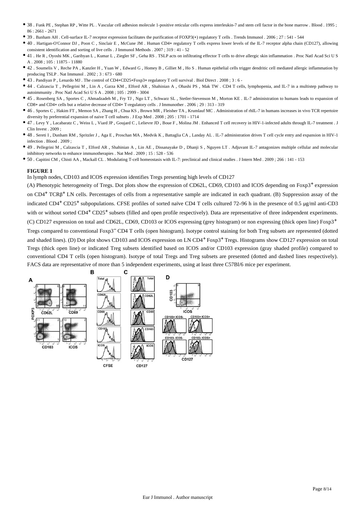- 38 . Funk PE , Stephan RP , Witte PL . Vascular cell adhesion molecule 1-positive reticular cells express interleukin-7 and stem cell factor in the bone marrow . Blood . 1995 ; 86 : 2661 - 2671
- 39 . Banham AH . Cell-surface IL-7 receptor expression facilitates the purification of FOXP3(+) regulatory T cells . Trends Immunol . 2006 ; 27 : 541 544
- 40 . Hartigan-O'Connor DJ , Poon C , Sinclair E , McCune JM . Human CD4+ regulatory T cells express lower levels of the IL-7 receptor alpha chain (CD127), allowing consistent identification and sorting of live cells . J Immunol Methods . 2007 ; 319 : 41 - 52
- 41 . He R , Oyoshi MK , Garibyan L , Kumar L , Ziegler SF , Geha RS . TSLP acts on infiltrating effector T cells to drive allergic skin inflammation . Proc Natl Acad Sci U S A . 2008 ; 105 : 11875 - 11880
- 42 . Soumelis V , Reche PA , Kanzler H , Yuan W , Edward G , Homey B , Gilliet M , Ho S . Human epithelial cells trigger dendritic cell mediated allergic inflammation by producing TSLP . Nat Immunol . 2002 ; 3 : 673 - 680
- 43 . Pandiyan P , Lenardo MJ . The control of CD4+CD25+Foxp3+ regulatory T cell survival . Biol Direct . 2008 ; 3 : 6 -
- 44 . Calzascia T , Pellegrini M , Lin A , Garza KM , Elford AR , Shahinian A , Ohashi PS , Mak TW . CD4 T cells, lymphopenia, and IL-7 in a multistep pathway to autoimmunity . Proc Natl Acad Sci U S A . 2008 ; 105 : 2999 - 3004
- 45 . Rosenberg SA , Sportes C , Ahmadzadeh M , Fry TJ , Ngo LT , Schwarz SL , Stetler-Stevenson M , Morton KE . IL-7 administration to humans leads to expansion of CD8+ and CD4+ cells but a relative decrease of CD4+ T-regulatory cells . J Immunother . 2006 ; 29 : 313 - 319
- 46 . Sportes C , Hakim FT , Memon SA , Zhang H , Chua KS , Brown MR , Fleisher TA , Krumlauf MC . Administration of rhIL-7 in humans increases in vivo TCR repertoire diversity by preferential expansion of naive T cell subsets . J Exp Med . 2008 ; 205 : 1701 - 1714
- 47 . Levy Y , Lacabaratz C , Weiss L , Viard JP , Goujard C , Lelievre JD , Boue F , Molina JM . Enhanced T cell recovery in HIV-1-infected adults through IL-7 treatment . J Clin Invest . 2009 ;
- 48 . Sereti I , Dunham RM , Spritzler J , Aga E , Proschan MA , Medvik K , Battaglia CA , Landay AL . IL-7 administration drives T cell cycle entry and expansion in HIV-1 infection . Blood . 2009 ;
- 49 . Pellegrini M , Calzascia T , Elford AR , Shahinian A , Lin AE , Dissanayake D , Dhanji S , Nguyen LT . Adjuvant IL-7 antagonizes multiple cellular and molecular inhibitory networks to enhance immunotherapies . Nat Med . 2009 ; 15 : 528 - 536
- 50 . Capitini CM , Chisti AA , Mackall CL . Modulating T-cell homeostasis with IL-7: preclinical and clinical studies . J Intern Med . 2009 ; 266 : 141 153

In lymph nodes, CD103 and ICOS expression identifies Tregs presenting high levels of CD127

(A) Phenotypic heterogeneity of Tregs. Dot plots show the expression of CD62L, CD69, CD103 and ICOS depending on  $F\alpha p3$ <sup>+</sup> expression on CD4<sup>+</sup> TCRβ<sup>+</sup> LN cells. Percentages of cells from a representative sample are indicated in each quadrant. (B) Suppression assay of the indicated CD4<sup>+</sup> CD25<sup>+</sup> subpopulations. CFSE profiles of sorted naïve CD4 T cells cultured 72–96 h in the presence of 0.5 μg/ml anti-CD3 with or without sorted CD4<sup>+</sup> CD25<sup>+</sup> subsets (filled and open profile respectively). Data are representative of three independent experiments. (C) CD127 expression on total and CD62L, CD69, CD103 or ICOS expressing (grey histogram) or non expressing (thick open line) Foxp3+ Tregs compared to conventional Foxp3<sup>-</sup> CD4 T cells (open histogram). Isotype control staining for both Treg subsets are represented (dotted and shaded lines). (D) Dot plot shows CD103 and ICOS expression on LN CD4<sup>+</sup> Foxp3<sup>+</sup> Tregs. Histograms show CD127 expression on total Tregs (thick open line) or indicated Treg subsets identified based on ICOS and/or CD103 expression (gray shaded profile) compared to conventional CD4 T cells (open histogram). Isotype of total Tregs and Treg subsets are presented (dotted and dashed lines respectively). FACS data are representative of more than 5 independent experiments, using at least three C57Bl/6 mice per experiment.

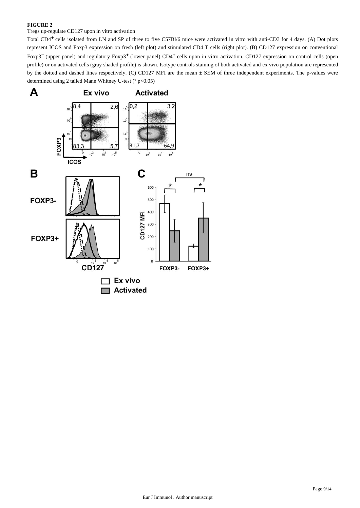## Tregs up-regulate CD127 upon in vitro activation

Total CD4<sup>+</sup> cells isolated from LN and SP of three to five C57Bl/6 mice were activated in vitro with anti-CD3 for 4 days. (A) Dot plots represent ICOS and Foxp3 expression on fresh (left plot) and stimulated CD4 T cells (right plot). (B) CD127 expression on conventional Foxp3<sup>-</sup> (upper panel) and regulatory Foxp3<sup>+</sup> (lower panel) CD4<sup>+</sup> cells upon in vitro activation. CD127 expression on control cells (open profile) or on activated cells (gray shaded profile) is shown. Isotype controls staining of both activated and ex vivo population are represented by the dotted and dashed lines respectively. (C) CD127 MFI are the mean ± SEM of three independent experiments. The p-values were determined using 2 tailed Mann Whitney U-test (\* p<0.05)

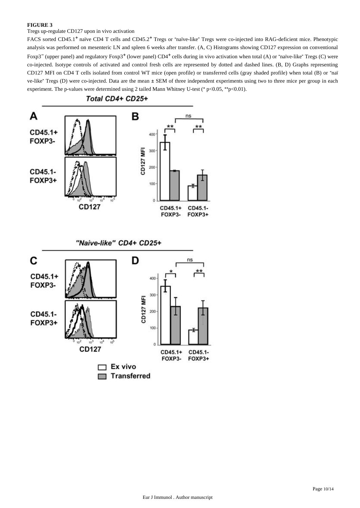Tregs up-regulate CD127 upon in vivo activation

FACS sorted CD45.1<sup>+</sup> naïve CD4 T cells and CD45.2<sup>+</sup> Tregs or "naïve-like" Tregs were co-injected into RAG-deficient mice. Phenotypic analysis was performed on mesenteric LN and spleen 6 weeks after transfer. (A, C) Histograms showing CD127 expression on conventional Foxp3<sup>-</sup> (upper panel) and regulatory Foxp3<sup>+</sup> (lower panel) CD4<sup>+</sup> cells during in vivo activation when total (A) or "naïve-like" Tregs (C) were co-injected. Isotype controls of activated and control fresh cells are represented by dotted and dashed lines. (B, D) Graphs representing CD127 MFI on CD4 T cells isolated from control WT mice (open profile) or transferred cells (gray shaded profile) when total (B) or "naï ve-like" Tregs (D) were co-injected. Data are the mean ± SEM of three independent experiments using two to three mice per group in each experiment. The p-values were determined using 2 tailed Mann Whitney U-test (\* p<0.05, \*\*p<0.01).



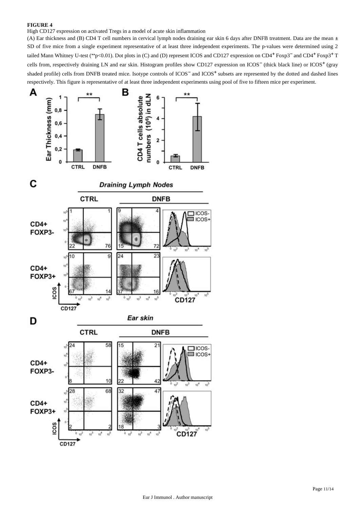High CD127 expression on activated Tregs in a model of acute skin inflammation

(A) Ear thickness and (B) CD4 T cell numbers in cervical lymph nodes draining ear skin 6 days after DNFB treatment. Data are the mean ± SD of five mice from a single experiment representative of at least three independent experiments. The p-values were determined using 2 tailed Mann Whitney U-test (\*\*p<0.01). Dot plots in (C) and (D) represent ICOS and CD127 expression on CD4<sup>+</sup> Foxp3<sup>-</sup> and CD4<sup>+</sup> Foxp3<sup>+</sup> T cells from, respectively draining LN and ear skin. Histogram profiles show CD127 expression on ICOS<sup>-</sup> (thick black line) or ICOS<sup>+</sup> (gray shaded profile) cells from DNFB treated mice. Isotype controls of ICOS<sup>-</sup> and ICOS<sup>+</sup> subsets are represented by the dotted and dashed lines respectively. This figure is representative of at least three independent experiments using pool of five to fifteen mice per experiment.

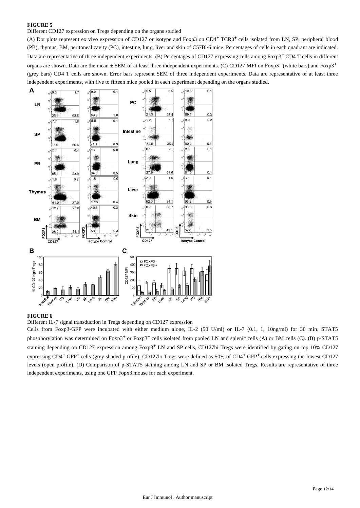Different CD127 expression on Tregs depending on the organs studied

(A) Dot plots represent ex vivo expression of CD127 or isotype and Foxp3 on CD4<sup>+</sup> TCRβ<sup>+</sup> cells isolated from LN, SP, peripheral blood (PB), thymus, BM, peritoneal cavity (PC), intestine, lung, liver and skin of C57Bl/6 mice. Percentages of cells in each quadrant are indicated. Data are representative of three independent experiments. (B) Percentages of CD127 expressing cells among Foxp3<sup>+</sup> CD4 T cells in different organs are shown. Data are the mean ± SEM of at least three independent experiments. (C) CD127 MFI on Foxp3<sup>-</sup> (white bars) and Foxp3<sup>+</sup> (grey bars) CD4 T cells are shown. Error bars represent SEM of three independent experiments. Data are representative of at least three independent experiments, with five to fifteen mice pooled in each experiment depending on the organs studied.



## **FIGURE 6**

Different IL-7 signal transduction in Tregs depending on CD127 expression

Cells from Foxp3-GFP were incubated with either medium alone, IL-2 (50 U/ml) or IL-7 (0.1, 1, 10ng/ml) for 30 min. STAT5 phosphorylation was determined on  $F\alpha p3^+$  or  $F\alpha p3^-$  cells isolated from pooled LN and splenic cells (A) or BM cells (C). (B) p-STAT5 staining depending on CD127 expression among  $Foxp3<sup>+</sup>$ LN and SP cells, CD127hi Tregs were identified by gating on top 10% CD127 expressing  $CD4^+$  GFP<sup>+</sup> cells (grey shaded profile); CD127lo Tregs were defined as 50% of CD4<sup>+</sup> GFP<sup>+</sup> cells expressing the lowest CD127 levels (open profile). (D) Comparison of p-STAT5 staining among LN and SP or BM isolated Tregs. Results are representative of three independent experiments, using one GFP Fopx3 mouse for each experiment.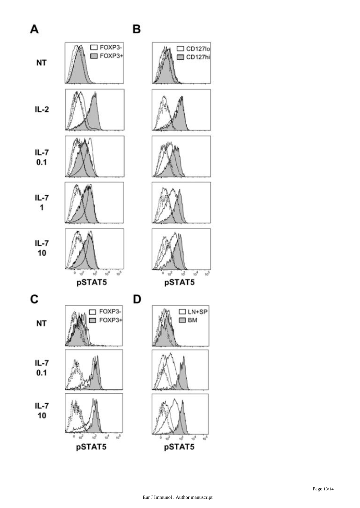

¥

 $\frac{1}{10}$